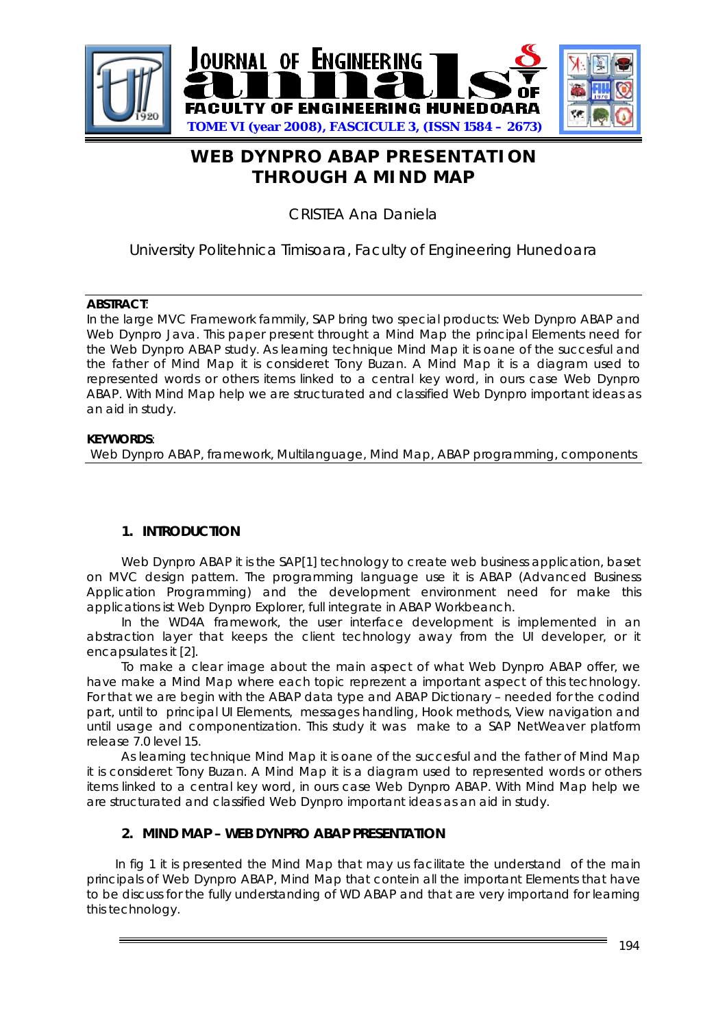

# **WEB DYNPRO ABAP PRESENTATION THROUGH A MIND MAP**

CRISTEA Ana Daniela

# University Politehnica Timisoara, Faculty of Engineering Hunedoara

#### **ABSTRACT**:

In the large MVC Framework fammily, SAP bring two special products: Web Dynpro ABAP and Web Dynpro Java. This paper present throught a Mind Map the principal Elements need for the Web Dynpro ABAP study. As learning technique Mind Map it is oane of the succesful and the father of Mind Map it is consideret Tony Buzan. A Mind Map it is a diagram used to represented words or others items linked to a central key word, in ours case Web Dynpro ABAP. With Mind Map help we are structurated and classified Web Dynpro important ideas as an aid in study.

#### **KEYWORDS**:

Web Dynpro ABAP, framework, Multilanguage, Mind Map, ABAP programming, components

## **1. INTRODUCTION**

Web Dynpro ABAP it is the SAP[1] technology to create web business application, baset on MVC design pattern. The programming language use it is ABAP (Advanced Business Application Programming) and the development environment need for make this applications ist Web Dynpro Explorer, full integrate in ABAP Workbeanch.

In the WD4A framework, the user interface development is implemented in an abstraction layer that keeps the client technology away from the UI developer, or it encapsulates it [2].

To make a clear image about the main aspect of what Web Dynpro ABAP offer, we have make a Mind Map where each topic reprezent a important aspect of this technology. For that we are begin with the ABAP data type and ABAP Dictionary – needed for the codind part, until to principal UI Elements, messages handling, Hook methods, View navigation and until usage and componentization. This study it was make to a SAP NetWeaver platform release 7.0 level 15.

 As learning technique Mind Map it is oane of the succesful and the father of Mind Map it is consideret Tony Buzan. A Mind Map it is a diagram used to represented words or others items linked to a central key word, in ours case Web Dynpro ABAP. With Mind Map help we are structurated and classified Web Dynpro important ideas as an aid in study.

#### **2. MIND MAP – WEB DYNPRO ABAP PRESENTATION**

 In fig 1 it is presented the Mind Map that may us facilitate the understand of the main principals of Web Dynpro ABAP, Mind Map that contein all the important Elements that have to be discuss for the fully understanding of WD ABAP and that are very importand for learning this technology.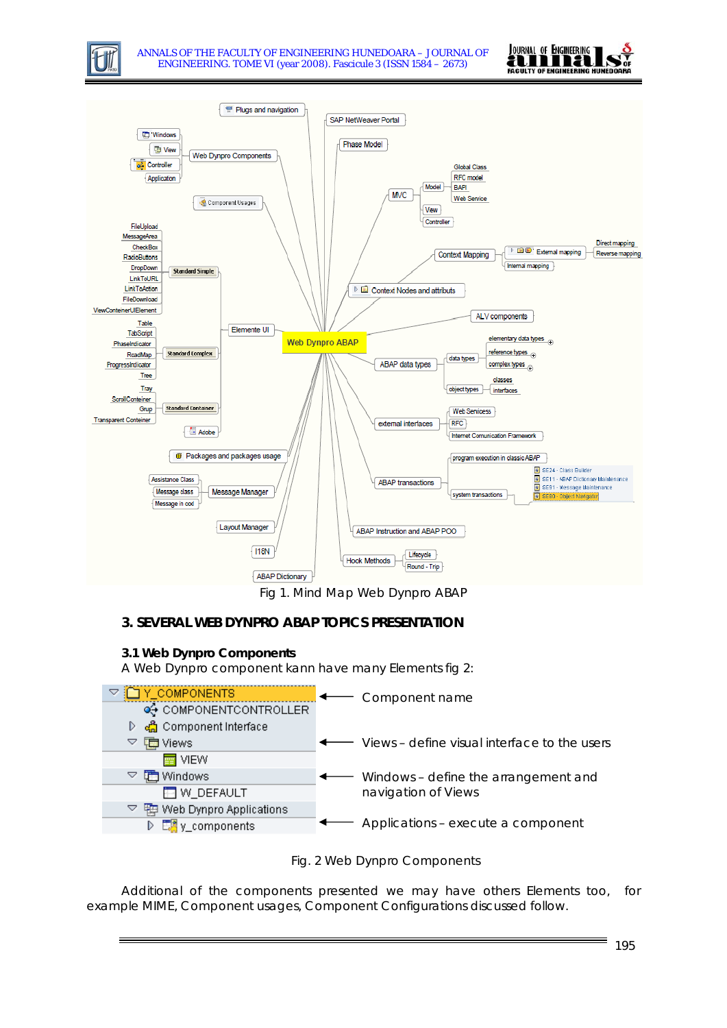





Fig 1. Mind Map Web Dynpro ABAP

## **3. SEVERAL WEB DYNPRO ABAP TOPICS PRESENTATION**

#### **3.1 Web Dynpro Components**

A Web Dynpro component kann have many Elements fig 2:





Additional of the components presented we may have others Elements too, for example MIME, Component usages, Component Configurations discussed follow.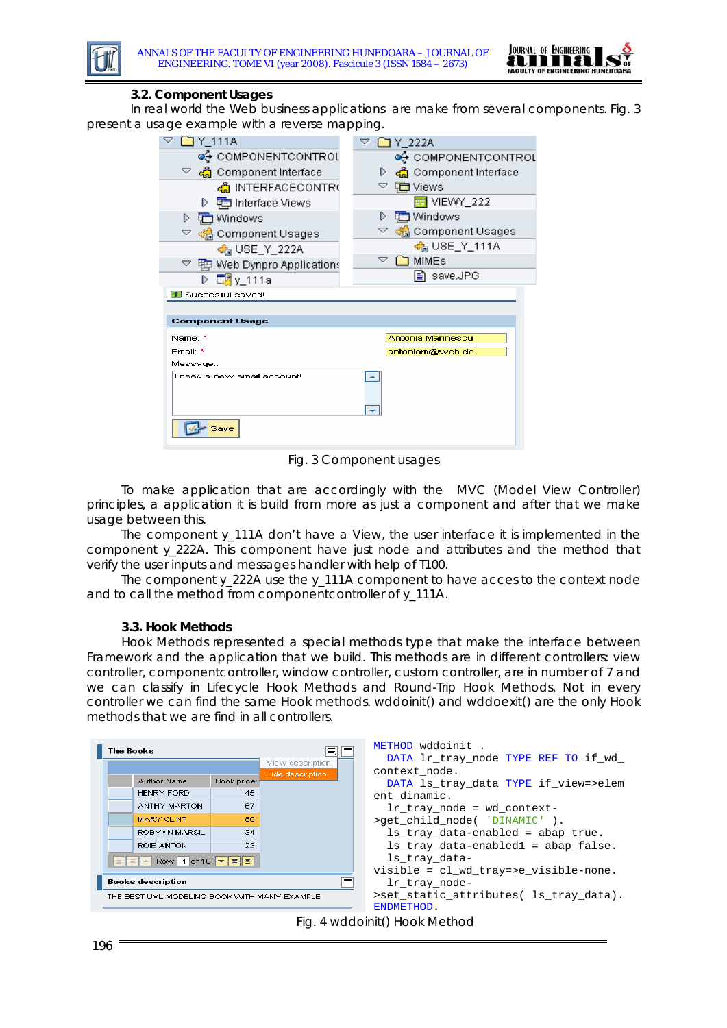

#### **3.2. Component Usages**

In real world the Web business applications are make from several components. Fig. 3 present a usage example with a reverse mapping.

| 111A Y کا ا                                        | ဲ<br>□ Y_222A            |
|----------------------------------------------------|--------------------------|
| o⊕ componentcontrol                                | o⊕ COMPONENTCONTROL      |
| $\triangledown$ දේ Component Interface             | ද්ධි Component Interface |
| ക്ലീ INTERFACECONTR(                               | ▽ 聴 Views                |
| ▷ 中国 Interface Views                               | $\equiv$ VIEWY 222       |
| <b>面</b> Windows<br>D                              | <b>面</b> Windows<br>D    |
| ▽ ශ් <mark>ਡ</mark> Component Usages               |                          |
| ക്ല USE_Y_222A                                     | <u>கி</u> USE_Y_111A     |
| $\triangledown$ $\boxplus$ Web Dynpro Applications | ▽<br><b>MIMEs</b>        |
| D E. y_111a                                        | save.JPG<br>l≣ì          |
| <b>11</b> Succesful saved!                         |                          |
|                                                    |                          |
| <b>Component Usage</b>                             |                          |
| Name: *                                            | Antonia Marinescu        |
| Ernail: *                                          | antoniam@web.de          |
| Message::                                          |                          |
| I need a new email account!                        | ┻                        |
|                                                    |                          |

Fig. 3 Component usages

To make application that are accordingly with the MVC (Model View Controller) principles, a application it is build from more as just a component and after that we make usage between this.

The component y\_111A don't have a View, the user interface it is implemented in the component y\_222A. This component have just node and attributes and the method that verify the user inputs and messages handler with help of T100.

The component y\_222A use the y\_111A component to have acces to the context node and to call the method from componentcontroller of y\_111A.

#### **3.3. Hook Methods**

Hook Methods represented a special methods type that make the interface between Framework and the application that we build. This methods are in different controllers: view controller, componentcontroller, window controller, custom controller, are in number of 7 and we can classify in Lifecycle Hook Methods and Round-Trip Hook Methods. Not in every controller we can find the same Hook methods. wddoinit() and wddoexit() are the only Hook methods that we are find in all controllers.

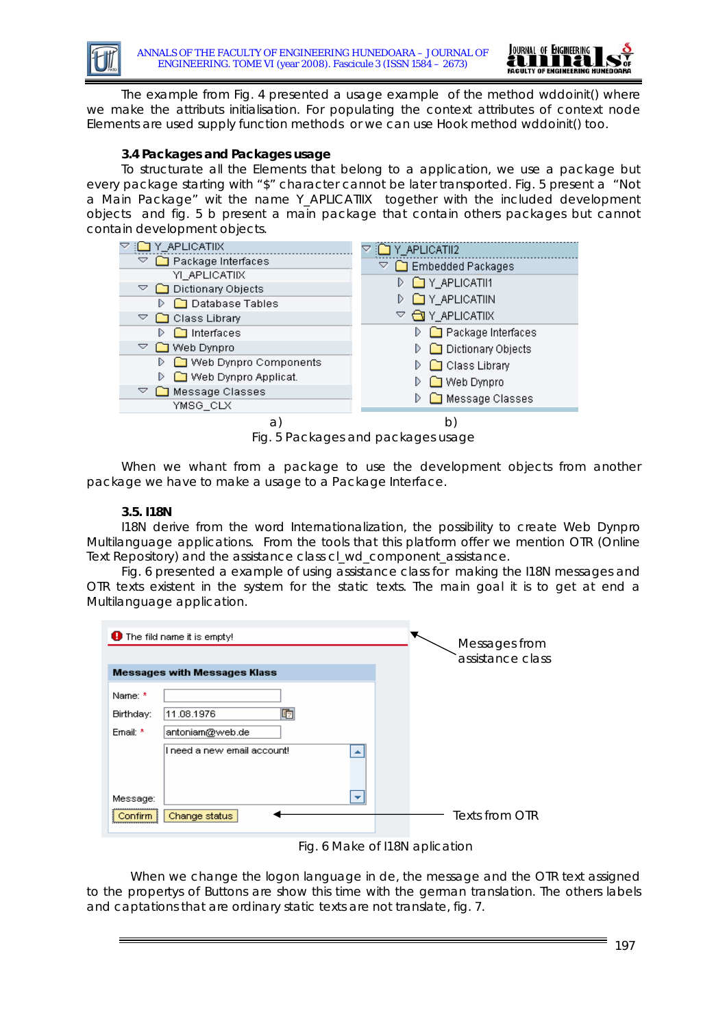

The example from Fig. 4 presented a usage example of the method wddoinit() where we make the attributs initialisation. For populating the context attributes of context node Elements are used supply function methods or we can use Hook method wddoinit() too.

#### **3.4 Packages and Packages usage**

To structurate all the Elements that belong to a application, we use a package but every package starting with "\$" character cannot be later transported. Fig. 5 present a "Not a Main Package" wit the name Y\_APLICATIIX together with the included development objects and fig. 5 b present a main package that contain others packages but cannot contain development objects.

| ] Y_APLICATIIX.               | Y_APLICATII2             |
|-------------------------------|--------------------------|
| Package Interfaces            | Embedded Packages        |
| YI APLICATIIX                 | Y_APLICATII1             |
| Dictionary Objects            |                          |
| <b>□</b> Database Tables<br>D | Y_APLICATIIN             |
| Class Library<br>▽            | <b>GI</b> Y_APLICATIIX   |
| $\Box$ Interfaces<br>D        | Package Interfaces<br>D. |
| Web Dynpro<br>▽               | Dictionary Objects       |
| ◯ Web Dynpro Components<br>D  | $\Box$ Class Library     |
| Web Dynpro Applicat.<br>D     | ◯ Web Dynpro             |
| Message Classes<br>▽          | Message Classes<br>D     |
| YMSG_CLX                      |                          |
| а                             | b                        |

Fig. 5 Packages and packages usage

When we whant from a package to use the development objects from another package we have to make a usage to a Package Interface.

#### **3.5. I18N**

I18N derive from the word Internationalization, the possibility to create Web Dynpro Multilanguage applications. From the tools that this platform offer we mention OTR (Online Text Repository) and the assistance class cl\_wd\_component\_assistance.

Fig. 6 presented a example of using assistance class for making the I18N messages and OTR texts existent in the system for the static texts. The main goal it is to get at end a Multilanguage application.

| $\bigoplus$ The fild name it is empty!                                                                      | Messages from<br>assistance class |
|-------------------------------------------------------------------------------------------------------------|-----------------------------------|
| <b>Messages with Messages Klass</b>                                                                         |                                   |
| Name: *<br>响<br>11.08.1976<br>Birthday:<br>Ernail: *<br>antoniam@web.de<br>I need a new email account!<br>ዹ |                                   |
| Message:<br>▼<br>Change status<br>Confirm                                                                   | Texts from OTR                    |



When we change the logon language in de, the message and the OTR text assigned to the propertys of Buttons are show this time with the german translation. The others labels and captations that are ordinary static texts are not translate, fig. 7.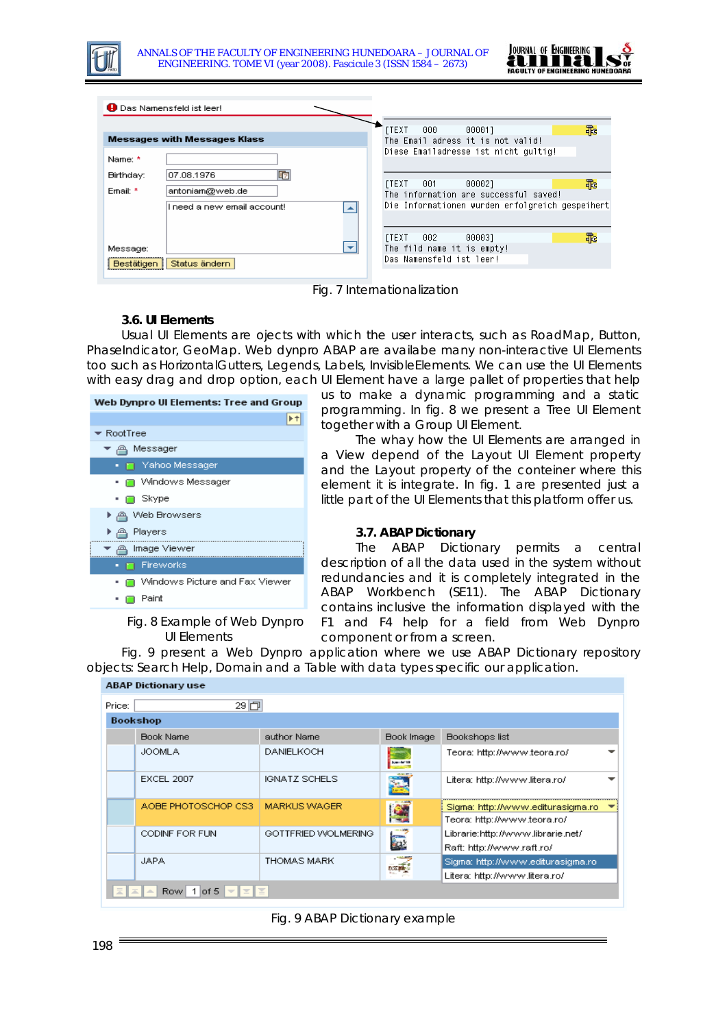

|            | <b>Das Namensfeld ist leer!</b>                |                                                                                          |   |
|------------|------------------------------------------------|------------------------------------------------------------------------------------------|---|
|            | <b>Messages with Messages Klass</b>            | <b>TTEXT</b><br>000<br>000011<br>The Email adress it is not valid!                       | 乖 |
| Name: *    |                                                | Diese Emailadresse ist nicht qultiq!                                                     |   |
| Birthday:  | 呞<br>07.08.1976                                | 000021<br><b>ITEXT</b><br>001                                                            | 乖 |
| Ernail: *  | antoniam@web.de<br>I need a new email account! | The information are successful saved!<br>Die Informationen wurden erfolgreich gespeihert |   |
|            |                                                |                                                                                          |   |
| Message:   | $\overline{\phantom{a}}$                       | <b>ITEXT</b><br>002<br>000031<br>The fild name it is empty!                              | 乖 |
| Bestätigen | Status ändern                                  | Das Namensfeld ist leer!                                                                 |   |

Fig. 7 Internationalization

#### **3.6. UI Elements**

Usual UI Elements are ojects with which the user interacts, such as RoadMap, Button, PhaseIndicator, GeoMap. Web dynpro ABAP are availabe many non-interactive UI Elements too such as HorizontalGutters, Legends, Labels, InvisibleElements. We can use the UI Elements with easy drag and drop option, each UI Element have a large pallet of properties that help

| Web Dynpro UI Elements: Tree and Group |  |  |
|----------------------------------------|--|--|
|                                        |  |  |
| ► RootTree                             |  |  |
| Messager                               |  |  |
| im i Yahoo Messager                    |  |  |
| ∩ Windows Messager                     |  |  |
| • ∩ Skype                              |  |  |
| Web Browsers<br>▸ ⋒                    |  |  |
| Players<br>م⊿ ∙                        |  |  |
| Image Viewer<br>- உ                    |  |  |
| Fireworks                              |  |  |
| Windows Picture and Fax Viewer         |  |  |
| Paint                                  |  |  |

Fig. 8 Example of Web Dynpro UI Elements

us to make a dynamic programming and a static programming. In fig. 8 we present a Tree UI Element together with a Group UI Element.

The whay how the UI Elements are arranged in a View depend of the Layout UI Element property and the Layout property of the conteiner where this element it is integrate. In fig. 1 are presented just a little part of the UI Elements that this platform offer us.

#### **3.7. ABAP Dictionary**

The ABAP Dictionary permits a central description of all the data used in the system without redundancies and it is completely integrated in the ABAP Workbench (SE11). The ABAP Dictionary contains inclusive the information displayed with the F1 and F4 help for a field from Web Dynpro component or from a screen.

Fig. 9 present a Web Dynpro application where we use ABAP Dictionary repository objects: Search Help, Domain and a Table with data types specific our application.

| Price:          | 29回                 |                      |                         |                                                                    |
|-----------------|---------------------|----------------------|-------------------------|--------------------------------------------------------------------|
| <b>Bookshop</b> |                     |                      |                         |                                                                    |
|                 | Book Name           | author Name          | Book Image              | Bookshops list                                                     |
|                 | <b>JOOMLA</b>       | <b>DANIELKOCH</b>    | <b>Service</b> IA       | Teora: http://www.teora.ro/                                        |
|                 | <b>EXCEL 2007</b>   | <b>IGNATZ SCHELS</b> | ÷.                      | Litera: http://www.litera.ro/                                      |
|                 | AOBE PHOTOSCHOP CS3 | <b>MARKUS WAGER</b>  |                         | Sigma: http://www.editurasigma.ro<br>Teora: http://www.teora.ro/   |
|                 | CODINE FOR FUN.     | GOTTFRIED WOLMERING  | $\overline{\mathbf{r}}$ | Librarie: http://www.librarie.net/<br>Raft: http://www.raft.ro/    |
|                 | <b>JAPA</b>         | <b>THOMAS MARK</b>   |                         | Sigma: http://www.editurasigma.ro<br>Litera: http://www.litera.ro/ |

Fig. 9 ABAP Dictionary example